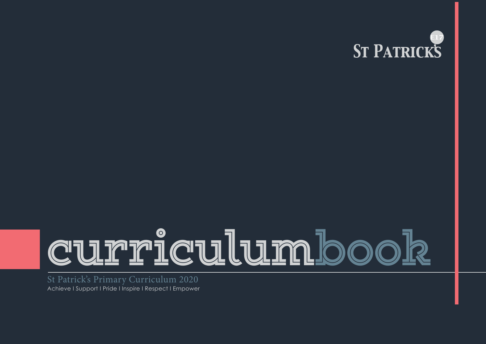

# **curriculumbook**

St Patrick's Primary Curriculum 2020 Achieve I Support I Pride I Inspire I Respect I Empower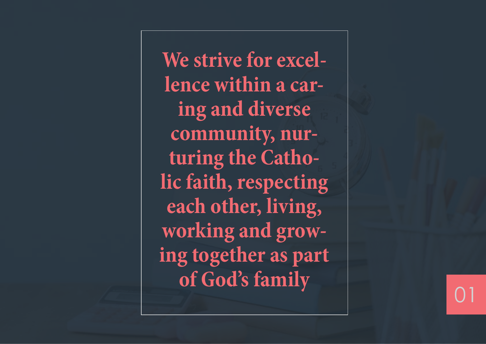**We strive for excel lence within a car ing and diverse community, nur turing the Catho lic faith, respecting each other, living, working and grow ing together as part of God's family**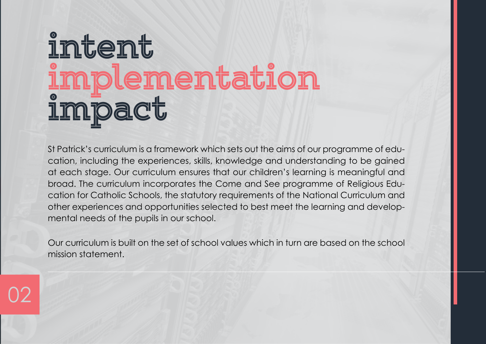# **intent implementation impact**

02

St Patrick's curriculum is a framework which sets out the aims of our programme of education, including the experiences, skills, knowledge and understanding to be gained at each stage. Our curriculum ensures that our children's learning is meaningful and broad. The curriculum incorporates the Come and See programme of Religious Education for Catholic Schools, the statutory requirements of the National Curriculum and other experiences and opportunities selected to best meet the learning and developmental needs of the pupils in our school.

Our curriculum is built on the set of school values which in turn are based on the school mission statement.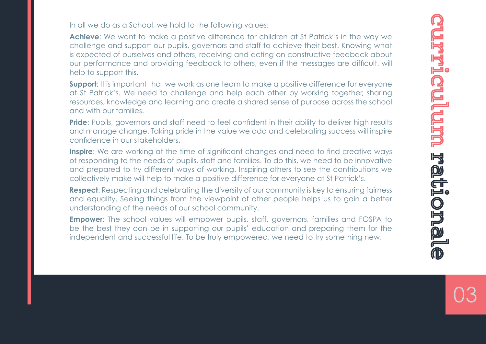In all we do as a School, we hold to the following values:

**Achieve**: We want to make a positive difference for children at St Patrick's in the way we challenge and support our pupils, governors and staff to achieve their best. Knowing what is expected of ourselves and others, receiving and acting on constructive feedback about our performance and providing feedback to others, even if the messages are difficult, will help to support this.

**Support:** It is important that we work as one team to make a positive difference for everyone at St Patrick's. We need to challenge and help each other by working together, sharing resources, knowledge and learning and create a shared sense of purpose across the school and with our families.

**Pride**: Pupils, governors and staff need to feel confident in their ability to deliver high results and manage change. Taking pride in the value we add and celebrating success will inspire confidence in our stakeholders.

**Inspire**: We are working at the time of significant changes and need to find creative ways of responding to the needs of pupils, staff and families. To do this, we need to be innovative and prepared to try different ways of working. Inspiring others to see the contributions we collectively make will help to make a positive difference for everyone at St Patrick's.

**Respect**: Respecting and celebrating the diversity of our community is key to ensuring fairness and equality. Seeing things from the viewpoint of other people helps us to gain a better understanding of the needs of our school community.

**Empower:** The school values will empower pupils, staff, governors, families and FOSPA to be the best they can be in supporting our pupils' education and preparing them for the independent and successful life. To be truly empowered, we need to try something new.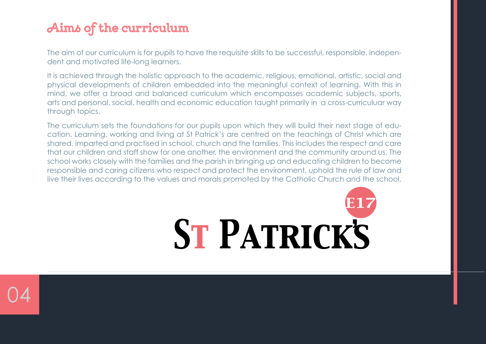## **Aims of the curriculum**

The aim of our curriculum is for pupils to have the requisite skills to be successful, responsible, independent and motivated life-long learners.

It is achieved through the holistic approach to the academic, religious, emotional, artistic, social and physical developments of children embedded into the meaningful context of learning. With this in mind, we offer a broad and balanced curriculum which encompasses academic subjects, sports, arts and personal, social, health and economic education taught primarily in a cross-curriculuar way through topics.

The curriculum sets the foundations for our pupils upon which they will build their next stage of education. Learning, working and living at St Patrick's are centred on the teachings of Christ which are shared, imparted and practised in school, church and the families. This includes the respect and care that our children and staff show for one another, the environment and the community around us. The school works closely with the families and the parish in bringing up and educating children to become responsible and caring citizens who respect and protect the environment, uphold the rule of law and live their lives according to the values and morals promoted by the Catholic Church and the school.



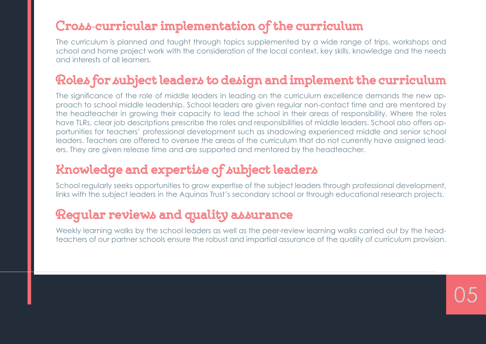#### **Cross**-**curricular implementation of the curriculum**

The curriculum is planned and taught through topics supplemented by a wide range of trips, workshops and school and home project work with the consideration of the local context, key skills, knowledge and the needs and interests of all learners.

#### **Roles for subject leaders to design and implement the curriculum**

The significance of the role of middle leaders in leading on the curriculum excellence demands the new approach to school middle leadership. School leaders are given regular non-contact time and are mentored by the headteacher in growing their capacity to lead the school in their areas of responsibility. Where the roles have TLRs, clear job descriptions prescribe the roles and responsibilities of middle leaders. School also offers opportunities for teachers' professional development such as shadowing experienced middle and senior school leaders. Teachers are offered to oversee the areas of the curriculum that do not currently have assigned leaders. They are given release time and are supported and mentored by the headteacher.

#### **Knowledge and expertise of subject leaders**

School regularly seeks opportunities to grow expertise of the subject leaders through professional development, links with the subject leaders in the Aquinas Trust's secondary school or through educational research projects.

### **Regular reviews and quality assurance**

Weekly learning walks by the school leaders as well as the peer-review learning walks carried out by the headteachers of our partner schools ensure the robust and impartial assurance of the quality of curriculum provision.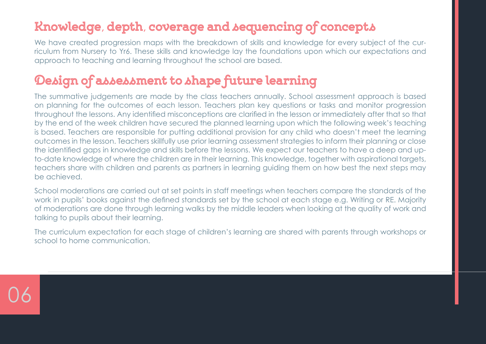### **Knowledge**, **depth**, **coverage and sequencing of concepts**

We have created progression maps with the breakdown of skills and knowledge for every subject of the curriculum from Nursery to Yr6. These skills and knowledge lay the foundations upon which our expectations and approach to teaching and learning throughout the school are based.

## **Design of assessment to shape future learning**

The summative judgements are made by the class teachers annually. School assessment approach is based on planning for the outcomes of each lesson. Teachers plan key questions or tasks and monitor progression throughout the lessons. Any identified misconceptions are clarified in the lesson or immediately after that so that by the end of the week children have secured the planned learning upon which the following week's teaching is based. Teachers are responsible for putting additional provision for any child who doesn't meet the learning outcomes in the lesson. Teachers skillfully use prior learning assessment strategies to inform their planning or close the identified gaps in knowledge and skills before the lessons. We expect our teachers to have a deep and upto-date knowledge of where the children are in their learning. This knowledge, together with aspirational targets, teachers share with children and parents as partners in learning guiding them on how best the next steps may be achieved.

School moderations are carried out at set points in staff meetings when teachers compare the standards of the work in pupils' books against the defined standards set by the school at each stage e.g. Writing or RE. Majority of moderations are done through learning walks by the middle leaders when looking at the quality of work and talking to pupils about their learning.

The curriculum expectation for each stage of children's learning are shared with parents through workshops or school to home communication.

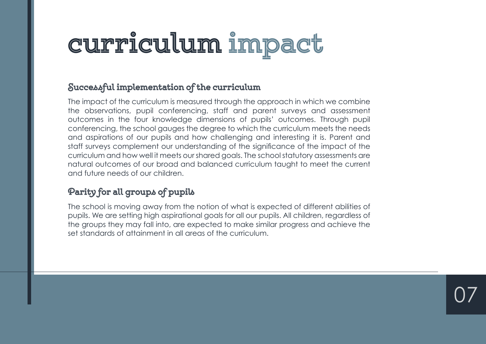## **curriculum impact**

#### **Successful implementation of the curriculum**

The impact of the curriculum is measured through the approach in which we combine the observations, pupil conferencing, staff and parent surveys and assessment outcomes in the four knowledge dimensions of pupils' outcomes. Through pupil conferencing, the school gauges the degree to which the curriculum meets the needs and aspirations of our pupils and how challenging and interesting it is. Parent and staff surveys complement our understanding of the significance of the impact of the curriculum and how well it meets our shared goals. The school statutory assessments are natural outcomes of our broad and balanced curriculum taught to meet the current and future needs of our children.

#### **Parity for all groups of pupils**

The school is moving away from the notion of what is expected of different abilities of pupils. We are setting high aspirational goals for all our pupils. All children, regardless of the groups they may fall into, are expected to make similar progress and achieve the set standards of attainment in all areas of the curriculum.

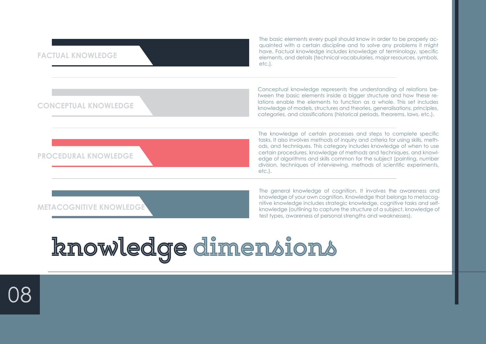| <b>FACTUAL KNOWLEDGE</b>       | The basic elements every pupil should know in order to be properly ac-<br>quainted with a certain discipline and to solve any problems it might<br>have. Factual knowledge includes knowledge of terminology, specific<br>elements, and details (technical vocabularies, major resources, symbols,<br>$etc.$ ).                                                                                                                                                     |
|--------------------------------|---------------------------------------------------------------------------------------------------------------------------------------------------------------------------------------------------------------------------------------------------------------------------------------------------------------------------------------------------------------------------------------------------------------------------------------------------------------------|
| <b>CONCEPTUAL KNOWLEDGE</b>    | Conceptual knowledge represents the understanding of relations be-<br>tween the basic elements inside a bigger structure and how these re-<br>lations enable the elements to function as a whole. This set includes<br>knowledge of models, structures and theories, generalisations, principles,<br>categories, and classifications (historical periods, theorems, laws, etc.).                                                                                    |
| <b>PROCEDURAL KNOWLEDGE</b>    | The knowledge of certain processes and steps to complete specific<br>tasks. It also involves methods of inquiry and criteria for using skills, meth-<br>ods, and techniques. This category includes knowledge of when to use<br>certain procedures, knowledge of methods and techniques, and knowl-<br>edge of algorithms and skills common for the subject (painting, number<br>division, techniques of interviewing, methods of scientific experiments,<br>etc.). |
| <b>METACOGNITIVE KNOWLEDGE</b> | The general knowledge of cognition. It involves the awareness and<br>knowledge of your own cognition. Knowledge that belongs to metacog-<br>nitive knowledge includes strategic knowledge, cognitive tasks and self-<br>knowledge (outlining to capture the structure of a subject, knowledge of<br>test types, awareness of personal strengths and weaknesses).                                                                                                    |

# **knowledge dimensions**

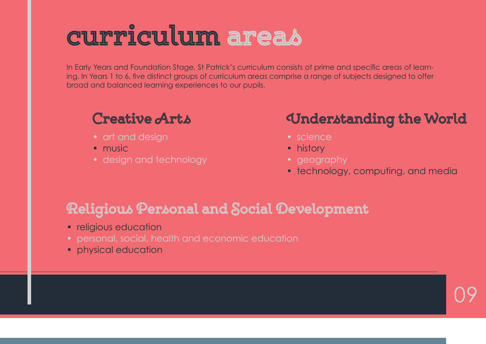## **curriculum areas**

In Early Years and Foundation Stage, St Patrick's curriculum consists ot prime and specific areas of learning. In Years 1 to 6, five distinct groups of curriculum areas comprise a range of subjects designed to offer broad and balanced learning experiences to our pupils.

### **Creative Arts**

- art and design
- music
- design and technology

## **Understanding the World**

- science
- history
- geography
- technology, computing, and media

09

## **Religious Personal and Social Development**

- religious education
- personal, social, health and economic education
- physical education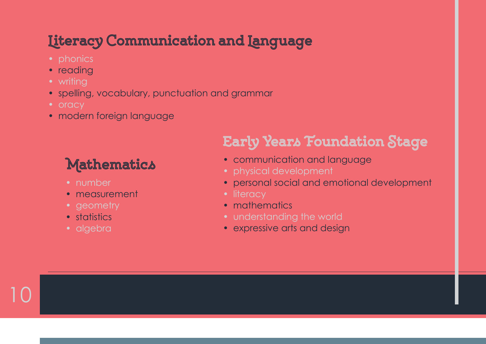## **Literacy Communication and Language**

- 
- reading
- writing
- spelling, vocabulary, punctuation and grammar
- oracy
- modern foreign language

## **Mathematics**

- number
- measurement
- geometry
- statistics
- algebra

10

## **Early Years Foundation Stage**

- communication and language
- physical development
- personal social and emotional development
- literacy
- mathematics
- understanding the world
- expressive arts and design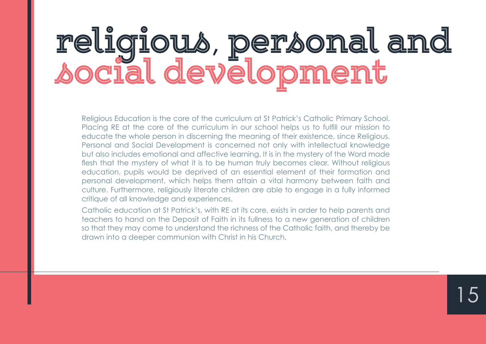# **religious**, **personal and social development**

Religious Education is the core of the curriculum at St Patrick's Catholic Primary School. Placing RE at the core of the curriculum in our school helps us to fulfill our mission to educate the whole person in discerning the meaning of their existence, since Religious, Personal and Social Development is concerned not only with intellectual knowledge but also includes emotional and affective learning. It is in the mystery of the Word made flesh that the mystery of what it is to be human truly becomes clear. Without religious education, pupils would be deprived of an essential element of their formation and personal development, which helps them attain a vital harmony between faith and culture. Furthermore, religiously literate children are able to engage in a fully informed critique of all knowledge and experiences.

Catholic education at St Patrick's, with RE at its core, exists in order to help parents and teachers to hand on the Deposit of Faith in its fullness to a new generation of children so that they may come to understand the richness of the Catholic faith, and thereby be drawn into a deeper communion with Christ in his Church.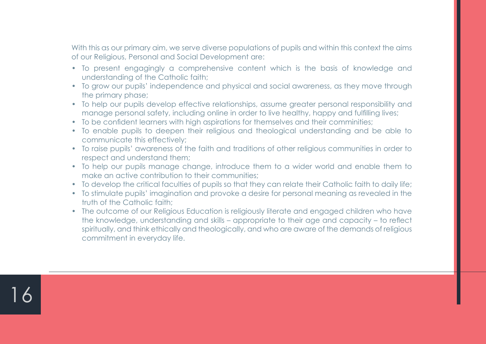With this as our primary aim, we serve diverse populations of pupils and within this context the aims of our Religious, Personal and Social Development are:

- To present engagingly a comprehensive content which is the basis of knowledge and understanding of the Catholic faith;
- To grow our pupils' independence and physical and social awareness, as they move through the primary phase;
- To help our pupils develop effective relationships, assume areater personal responsibility and manage personal safety, including online in order to live healthy, happy and fulfilling lives;
- To be confident learners with high aspirations for themselves and their comminities;
- To enable pupils to deepen their religious and theological understanding and be able to communicate this effectively;
- To raise pupils' awareness of the faith and traditions of other religious communities in order to respect and understand them;
- To help our pupils manage change, introduce them to a wider world and enable them to make an active contribution to their communities;
- To develop the critical faculties of pupils so that they can relate their Catholic faith to daily life;
- To stimulate pupils' imagination and provoke a desire for personal meaning as revealed in the truth of the Catholic faith;
- The outcome of our Religious Education is religiously literate and engaged children who have the knowledge, understanding and skills – appropriate to their age and capacity – to reflect spiritually, and think ethically and theologically, and who are aware of the demands of religious commitment in everyday life.

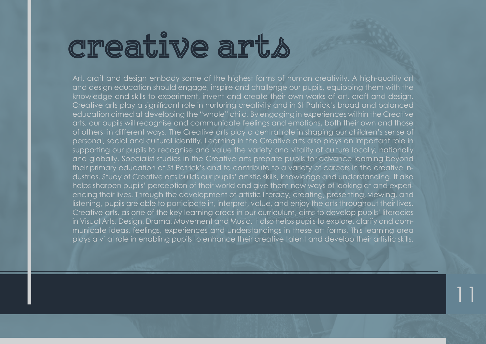## **creative arts**

Art, craft and design embody some of the highest forms of human creativity. A high-quality art and design education should engage, inspire and challenge our pupils, equipping them with the knowledge and skills to experiment, invent and create their own works of art, craft and design. Creative arts play a significant role in nurturing creativity and in St Patrick's broad and balanced education aimed at developing the "whole" child. By engaging in experiences within the Creative arts, our pupils will recognise and communicate feelings and emotions, both their own and those of others, in different ways. The Creative arts play a central role in shaping our children's sense of personal, social and cultural identity. Learning in the Creative arts also plays an important role in supporting our pupils to recognise and value the variety and vitality of culture locally, nationally and globally. Specialist studies in the Creative arts prepare pupils for advance learning beyond their primary education at St Patrick's and to contribute to a variety of careers in the creative industries. Study of Creative arts builds our pupils' artistic skills, knowledge and understanding. It also helps sharpen pupils' perception of their world and give them new ways of looking at and experiencing their lives. Through the development of artistic literacy, creating, presenting, viewing, and listening, pupils are able to participate in, interpret, value, and enjoy the arts throughout their lives. Creative arts, as one of the key learning areas in our curriculum, aims to develop pupils' literacies in Visual Arts, Design, Drama, Movement and Music. It also helps pupils to explore, clarify and communicate ideas, feelings, experiences and understandings in these art forms. This learning area plays a vital role in enabling pupils to enhance their creative talent and develop their artistic skills.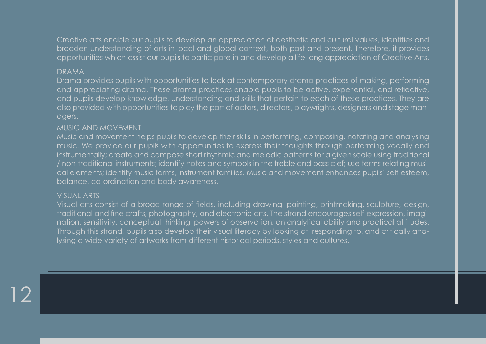Creative arts enable our pupils to develop an appreciation of aesthetic and cultural values, identities and broaden understanding of arts in local and global context, both past and present. Therefore, it provides opportunities which assist our pupils to participate in and develop a life-long appreciation of Creative Arts.

#### DRAMA

Drama provides pupils with opportunities to look at contemporary drama practices of making, performing and appreciating drama. These drama practices enable pupils to be active, experiential, and reflective, and pupils develop knowledge, understanding and skills that pertain to each of these practices. They are also provided with opportunities to play the part of actors, directors, playwrights, designers and stage managers.

#### MUSIC AND MOVEMENT

Music and movement helps pupils to develop their skills in performing, composing, notating and analysing music. We provide our pupils with opportunities to express their thoughts through performing vocally and instrumentally; create and compose short rhythmic and melodic patterns for a given scale using traditional / non-traditional instruments; identify notes and symbols in the treble and bass clef; use terms relating musical elements; identify music forms, instrument families. Music and movement enhances pupils' self-esteem, balance, co-ordination and body awareness.

#### VISUAL ARTS

12

Visual arts consist of a broad range of fields, including drawing, painting, printmaking, sculpture, design, traditional and fine crafts, photography, and electronic arts. The strand encourages self-expression, imagination, sensitivity, conceptual thinking, powers of observation, an analytical ability and practical attitudes. Through this strand, pupils also develop their visual literacy by looking at, responding to, and critically analysing a wide variety of artworks from different historical periods, styles and cultures.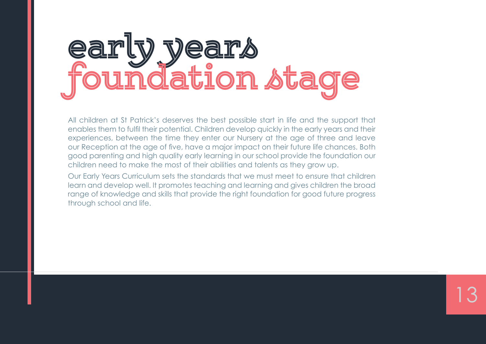# **early years foundation stage**

All children at St Patrick's deserves the best possible start in life and the support that enables them to fulfil their potential. Children develop quickly in the early years and their experiences, between the time they enter our Nursery at the age of three and leave our Reception at the age of five, have a major impact on their future life chances. Both good parenting and high quality early learning in our school provide the foundation our children need to make the most of their abilities and talents as they grow up.

Our Early Years Curriculum sets the standards that we must meet to ensure that children learn and develop well. It promotes teaching and learning and gives children the broad range of knowledge and skills that provide the right foundation for good future progress through school and life.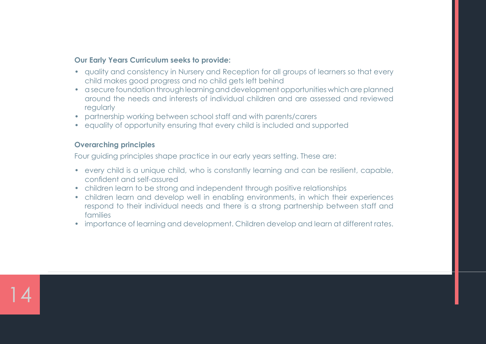#### **Our Early Years Curriculum seeks to provide:**

- quality and consistency in Nursery and Reception for all groups of learners so that every child makes good progress and no child gets left behind
- a secure foundation through learning and development opportunities which are planned around the needs and interests of individual children and are assessed and reviewed regularly
- partnership working between school staff and with parents/carers
- equality of opportunity ensuring that every child is included and supported

#### **Overarching principles**

Four guiding principles shape practice in our early years setting. These are:

- every child is a unique child, who is constantly learning and can be resilient, capable, confident and self-assured
- children learn to be strong and independent through positive relationships
- children learn and develop well in enabling environments, in which their experiences respond to their individual needs and there is a strong partnership between staff and families
- importance of learning and development. Children develop and learn at different rates.

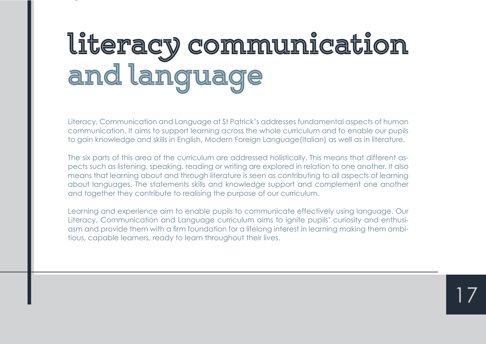# **literacy communication and language**

Literacy, Communication and Language at St Patrick's addresses fundamental aspects of human communication. It aims to support learning across the whole curriculum and to enable our pupils to gain knowledge and skills in English, Modern Foreign Language(Italian) as well as in literature.

The six parts of this area of the curriculum are addressed holistically. This means that different aspects such as listening, speaking, reading or writing are explored in relation to one another. It also means that learning about and through literature is seen as contributing to all aspects of learning about languages. The statements skills and knowledge support and complement one another and together they contribute to realising the purpose of our curriculum.

Learning and experience aim to enable pupils to communicate effectively using language. Our Literacy, Communication and Language curriculum aims to ignite pupils' curiosity and enthusiasm and provide them with a firm foundation for a lifelong interest in learning making them ambitious, capable learners, ready to learn throughout their lives.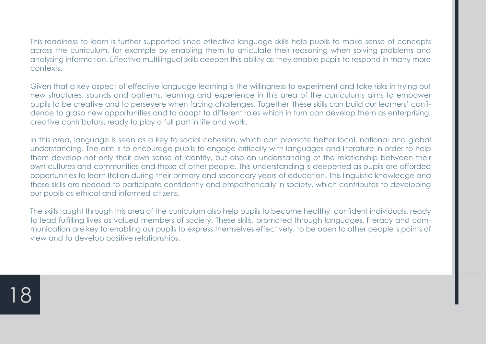This readiness to learn is further supported since effective language skills help pupils to make sense of concepts across the curriculum, for example by enabling them to articulate their reasoning when solving problems and analysing information. Effective multilingual skills deepen this ability as they enable pupils to respond in many more contexts.

Given that a key aspect of effective language learning is the willingness to experiment and take risks in trying out new structures, sounds and patterns, learning and experience in this area of the curriculums aims to empower pupils to be creative and to persevere when facing challenges. Together, these skills can build our learners' confidence to grasp new opportunities and to adapt to different roles which in turn can develop them as enterprising, creative contributors, ready to play a full part in life and work.

In this area, language is seen as a key to social cohesion, which can promote better local, national and global understanding. The aim is to encourage pupils to engage critically with languages and literature in order to help them develop not only their own sense of identity, but also an understanding of the relationship between their own cultures and communities and those of other people. This understanding is deepened as pupils are afforded opportunities to learn Italian during their primary and secondary years of education. This linguistic knowledge and these skills are needed to participate confidently and empathetically in society, which contributes to developing our pupils as ethical and informed citizens.

The skills taught through this area of the curriculum also help pupils to become healthy, confident individuals, ready to lead fulfilling lives as valued members of society. These skills, promoted through languages, literacy and communication are key to enabling our pupils to express themselves effectively, to be open to other people's points of view and to develop positive relationships.

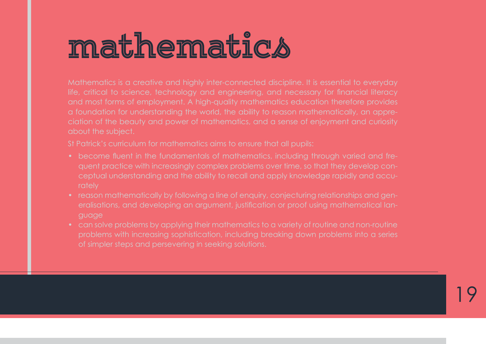# **mathematics**

Mathematics is a creative and highly inter-connected discipline. It is essential to everyday life, critical to science, technology and engineering, and necessary for financial literacy and most forms of employment. A high-quality mathematics education therefore provides a foundation for understanding the world, the ability to reason mathematically, an appreabout the subject.

St Patrick's curriculum for mathematics aims to ensure that all pupils:

- quent practice with increasingly complex problems over time, so that they develop conceptual understanding and the ability to recall and apply knowledge rapidly and accurately
- reason mathematically by following a line of enquiry, conjecturing relationships and genguage
- problems with increasing sophistication, including breaking down problems into a series of simpler steps and persevering in seeking solutions.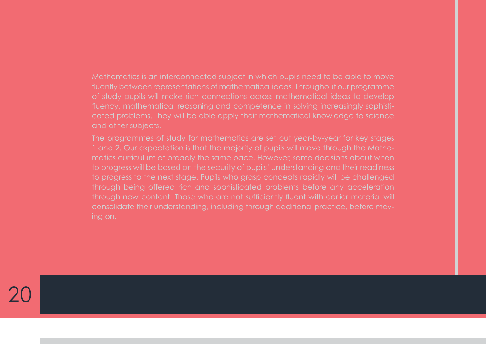Mathematics is an interconnected subject in which pupils need to be able to move fluently between representations of mathematical ideas. Throughout our programme of study pupils will make rich connections across mathematical ideas to develop fluency, mathematical reasoning and competence in solving increasingly sophisticated problems. They will be able apply their mathematical knowledge to science and other subjects.

The programmes of study for mathematics are set out year-by-year for key stages 1 and 2. Our expectation is that the majority of pupils will move through the Mathematics curriculum at broadly the same pace. However, some decisions about when to progress will be based on the security of pupils' understanding and their readiness to progress to the next stage. Pupils who grasp concepts rapidly will be challenged through being offered rich and sophisticated problems before any acceleration through new content. Those who are not sufficiently fluent with earlier material will consolidate their understanding, including through additional practice, before mov-

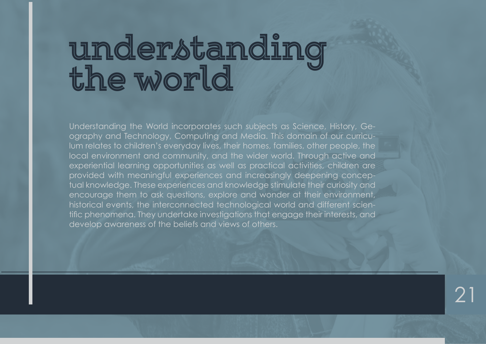# **understanding the world**

Understanding the World incorporates such subjects as Science, History, Geography and Technology, Computing and Media. This domain of our curriculum relates to children's everyday lives, their homes, families, other people, the local environment and community, and the wider world. Through active and experiential learning opportunities as well as practical activities, children are provided with meaningful experiences and increasingly deepening conceptual knowledge. These experiences and knowledge stimulate their curiosity and encourage them to ask questions, explore and wonder at their environment, historical events, the interconnected technological world and different scientific phenomena. They undertake investigations that engage their interests, and develop awareness of the beliefs and views of others.

 $\mathcal{P}^1$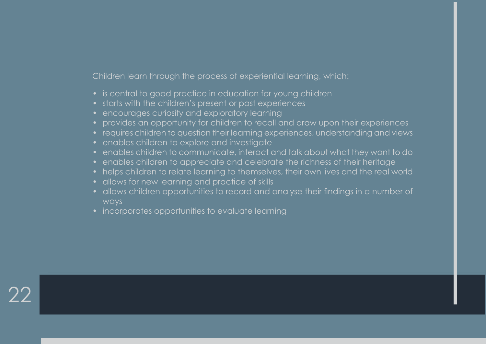Children learn through the process of experiential learning, which:

- is central to good practice in education for young children
- starts with the children's present or past experiences
- encourages curiosity and exploratory learning
- provides an opportunity for children to recall and draw upon their experiences
- requires children to question their learning experiences, understanding and views
- enables children to explore and investigate
- enables children to communicate, interact and talk about what they want to do
- enables children to appreciate and celebrate the richness of their heritage
- helps children to relate learning to themselves, their own lives and the real world
- allows for new learning and practice of skills

- allows children opportunities to record and analyse their findings in a number of ways
- incorporates opportunities to evaluate learning